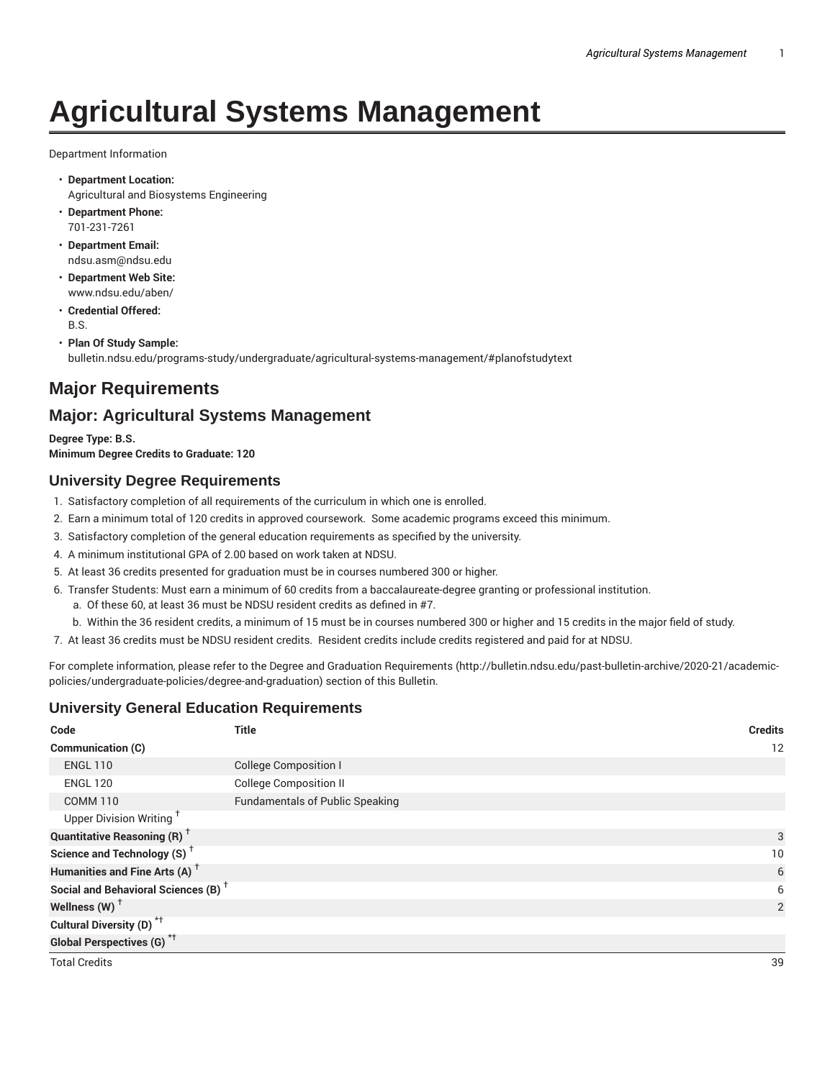# **Agricultural Systems Management**

Department Information

- **Department Location:** Agricultural and Biosystems Engineering
- **Department Phone:** 701-231-7261
- **Department Email:** ndsu.asm@ndsu.edu
- **Department Web Site:** www.ndsu.edu/aben/
- **Credential Offered:** B.S.
- **Plan Of Study Sample:** bulletin.ndsu.edu/programs-study/undergraduate/agricultural-systems-management/#planofstudytext

# **Major Requirements**

# **Major: Agricultural Systems Management**

**Degree Type: B.S. Minimum Degree Credits to Graduate: 120**

# **University Degree Requirements**

- 1. Satisfactory completion of all requirements of the curriculum in which one is enrolled.
- 2. Earn a minimum total of 120 credits in approved coursework. Some academic programs exceed this minimum.
- 3. Satisfactory completion of the general education requirements as specified by the university.
- 4. A minimum institutional GPA of 2.00 based on work taken at NDSU.
- 5. At least 36 credits presented for graduation must be in courses numbered 300 or higher.
- 6. Transfer Students: Must earn a minimum of 60 credits from a baccalaureate-degree granting or professional institution.
	- a. Of these 60, at least 36 must be NDSU resident credits as defined in #7.
	- b. Within the 36 resident credits, a minimum of 15 must be in courses numbered 300 or higher and 15 credits in the major field of study.
- 7. At least 36 credits must be NDSU resident credits. Resident credits include credits registered and paid for at NDSU.

For complete information, please refer to the Degree and Graduation Requirements (http://bulletin.ndsu.edu/past-bulletin-archive/2020-21/academicpolicies/undergraduate-policies/degree-and-graduation) section of this Bulletin.

# **University General Education Requirements**

| Code                                            | <b>Title</b>                           | <b>Credits</b> |
|-------------------------------------------------|----------------------------------------|----------------|
| Communication (C)                               |                                        | 12             |
| <b>ENGL 110</b>                                 | <b>College Composition I</b>           |                |
| <b>ENGL 120</b>                                 | <b>College Composition II</b>          |                |
| <b>COMM 110</b>                                 | <b>Fundamentals of Public Speaking</b> |                |
| Upper Division Writing <sup>+</sup>             |                                        |                |
| <b>Quantitative Reasoning (R)</b> <sup>+</sup>  |                                        | 3              |
| Science and Technology (S) <sup>+</sup>         |                                        | 10             |
| Humanities and Fine Arts (A) <sup>+</sup>       |                                        | 6              |
| Social and Behavioral Sciences (B) <sup>+</sup> |                                        | 6              |
| Wellness $(W)$ <sup>+</sup>                     |                                        | $\overline{2}$ |
| Cultural Diversity (D) <sup>*†</sup>            |                                        |                |
| <b>Global Perspectives (G)</b> <sup>*†</sup>    |                                        |                |
| <b>Total Credits</b>                            |                                        | 39             |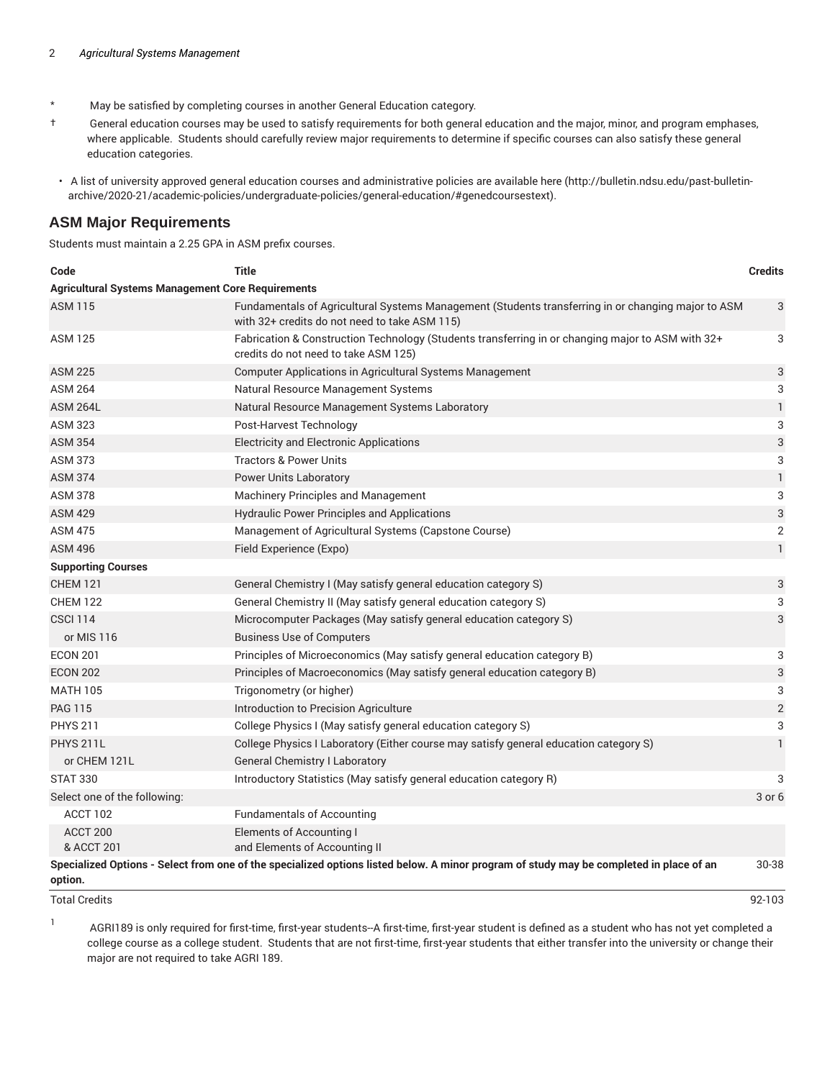- \* May be satisfied by completing courses in another General Education category.
- † General education courses may be used to satisfy requirements for both general education and the major, minor, and program emphases, where applicable. Students should carefully review major requirements to determine if specific courses can also satisfy these general education categories.
- A list of university approved general education courses and administrative policies are available here (http://bulletin.ndsu.edu/past-bulletinarchive/2020-21/academic-policies/undergraduate-policies/general-education/#genedcoursestext).

#### **ASM Major Requirements**

Students must maintain a 2.25 GPA in ASM prefix courses.

| Code                                                     | <b>Title</b>                                                                                                                                        | <b>Credits</b>            |
|----------------------------------------------------------|-----------------------------------------------------------------------------------------------------------------------------------------------------|---------------------------|
| <b>Agricultural Systems Management Core Requirements</b> |                                                                                                                                                     |                           |
| <b>ASM 115</b>                                           | Fundamentals of Agricultural Systems Management (Students transferring in or changing major to ASM<br>with 32+ credits do not need to take ASM 115) | 3                         |
| <b>ASM 125</b>                                           | Fabrication & Construction Technology (Students transferring in or changing major to ASM with 32+<br>credits do not need to take ASM 125)           | 3                         |
| <b>ASM 225</b>                                           | Computer Applications in Agricultural Systems Management                                                                                            | 3                         |
| <b>ASM 264</b>                                           | Natural Resource Management Systems                                                                                                                 | 3                         |
| <b>ASM 264L</b>                                          | Natural Resource Management Systems Laboratory                                                                                                      | $\mathbf{1}$              |
| <b>ASM 323</b>                                           | Post-Harvest Technology                                                                                                                             | 3                         |
| <b>ASM 354</b>                                           | <b>Electricity and Electronic Applications</b>                                                                                                      | $\ensuremath{\mathsf{3}}$ |
| <b>ASM 373</b>                                           | <b>Tractors &amp; Power Units</b>                                                                                                                   | 3                         |
| <b>ASM 374</b>                                           | <b>Power Units Laboratory</b>                                                                                                                       | $\mathbf{1}$              |
| <b>ASM 378</b>                                           | Machinery Principles and Management                                                                                                                 | 3                         |
| <b>ASM 429</b>                                           | <b>Hydraulic Power Principles and Applications</b>                                                                                                  | 3                         |
| <b>ASM 475</b>                                           | Management of Agricultural Systems (Capstone Course)                                                                                                | $\overline{2}$            |
| <b>ASM 496</b>                                           | Field Experience (Expo)                                                                                                                             | $\mathbf{1}$              |
| <b>Supporting Courses</b>                                |                                                                                                                                                     |                           |
| <b>CHEM 121</b>                                          | General Chemistry I (May satisfy general education category S)                                                                                      | 3                         |
| <b>CHEM 122</b>                                          | General Chemistry II (May satisfy general education category S)                                                                                     | 3                         |
| <b>CSCI 114</b>                                          | Microcomputer Packages (May satisfy general education category S)                                                                                   | 3                         |
| or MIS 116                                               | <b>Business Use of Computers</b>                                                                                                                    |                           |
| <b>ECON 201</b>                                          | Principles of Microeconomics (May satisfy general education category B)                                                                             | 3                         |
| <b>ECON 202</b>                                          | Principles of Macroeconomics (May satisfy general education category B)                                                                             | 3                         |
| <b>MATH 105</b>                                          | Trigonometry (or higher)                                                                                                                            | 3                         |
| <b>PAG 115</b>                                           | Introduction to Precision Agriculture                                                                                                               | $\mathbf{2}$              |
| <b>PHYS 211</b>                                          | College Physics I (May satisfy general education category S)                                                                                        | 3                         |
| <b>PHYS 211L</b>                                         | College Physics I Laboratory (Either course may satisfy general education category S)                                                               | $\mathbf{1}$              |
| or CHEM 121L                                             | <b>General Chemistry I Laboratory</b>                                                                                                               |                           |
| <b>STAT 330</b>                                          | Introductory Statistics (May satisfy general education category R)                                                                                  | 3                         |
| Select one of the following:                             |                                                                                                                                                     | $3$ or $6$                |
| ACCT 102                                                 | <b>Fundamentals of Accounting</b>                                                                                                                   |                           |
| ACCT <sub>200</sub><br>& ACCT 201                        | <b>Elements of Accounting I</b><br>and Elements of Accounting II                                                                                    |                           |
|                                                          | Specialized Options - Select from one of the specialized options listed below. A minor program of study may be completed in place of an             | 30-38                     |

**option.**

1

Total Credits 92-103

AGRI189 is only required for first-time, first-year students--A first-time, first-year student is defined as a student who has not yet completed a college course as a college student. Students that are not first-time, first-year students that either transfer into the university or change their major are not required to take AGRI 189.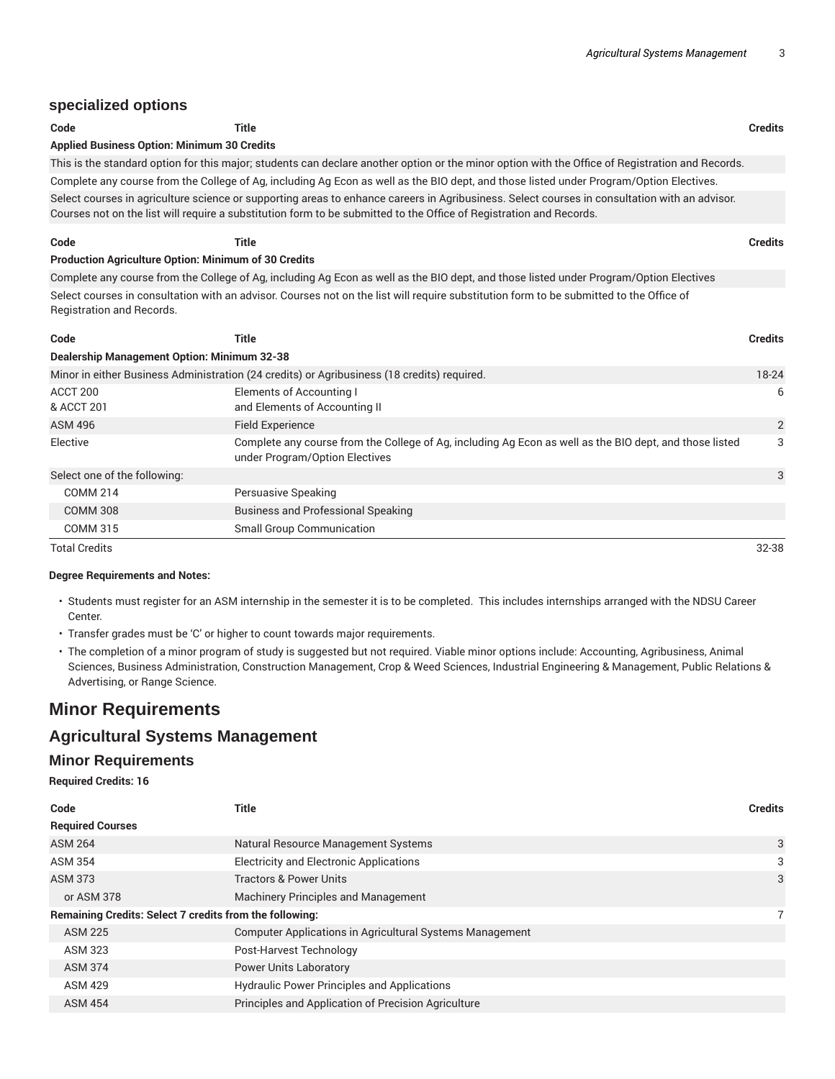### **specialized options**

| Code                                                        | Title                                                                                                                                                                                                                                                                | <b>Credits</b> |
|-------------------------------------------------------------|----------------------------------------------------------------------------------------------------------------------------------------------------------------------------------------------------------------------------------------------------------------------|----------------|
| <b>Applied Business Option: Minimum 30 Credits</b>          |                                                                                                                                                                                                                                                                      |                |
|                                                             | This is the standard option for this major; students can declare another option or the minor option with the Office of Registration and Records.                                                                                                                     |                |
|                                                             | Complete any course from the College of Ag, including Ag Econ as well as the BIO dept, and those listed under Program/Option Electives.                                                                                                                              |                |
|                                                             | Select courses in agriculture science or supporting areas to enhance careers in Agribusiness. Select courses in consultation with an advisor.<br>Courses not on the list will require a substitution form to be submitted to the Office of Registration and Records. |                |
| Code                                                        | Title                                                                                                                                                                                                                                                                | <b>Credits</b> |
| <b>Production Agriculture Option: Minimum of 30 Credits</b> |                                                                                                                                                                                                                                                                      |                |

Complete any course from the College of Ag, including Ag Econ as well as the BIO dept, and those listed under Program/Option Electives Select courses in consultation with an advisor. Courses not on the list will require substitution form to be submitted to the Office of Registration and Records.

| Code                                               | Title                                                                                                                                     | <b>Credits</b> |
|----------------------------------------------------|-------------------------------------------------------------------------------------------------------------------------------------------|----------------|
| <b>Dealership Management Option: Minimum 32-38</b> |                                                                                                                                           |                |
|                                                    | Minor in either Business Administration (24 credits) or Agribusiness (18 credits) required.                                               | 18-24          |
| ACCT 200<br>& ACCT 201                             | Elements of Accounting I<br>and Elements of Accounting II                                                                                 | 6              |
| <b>ASM 496</b>                                     | <b>Field Experience</b>                                                                                                                   | 2              |
| Elective                                           | Complete any course from the College of Ag, including Ag Econ as well as the BIO dept, and those listed<br>under Program/Option Electives | 3              |
| Select one of the following:                       |                                                                                                                                           | 3              |
| <b>COMM 214</b>                                    | Persuasive Speaking                                                                                                                       |                |
| <b>COMM 308</b>                                    | <b>Business and Professional Speaking</b>                                                                                                 |                |
| <b>COMM 315</b>                                    | <b>Small Group Communication</b>                                                                                                          |                |
| <b>Total Credits</b>                               |                                                                                                                                           | $32 - 38$      |

#### **Degree Requirements and Notes:**

- Students must register for an ASM internship in the semester it is to be completed. This includes internships arranged with the NDSU Career Center.
- Transfer grades must be 'C' or higher to count towards major requirements.
- The completion of a minor program of study is suggested but not required. Viable minor options include: Accounting, Agribusiness, Animal Sciences, Business Administration, Construction Management, Crop & Weed Sciences, Industrial Engineering & Management, Public Relations & Advertising, or Range Science.

# **Minor Requirements**

## **Agricultural Systems Management**

#### **Minor Requirements**

#### **Required Credits: 16**

| Code                    | Title                                                           | <b>Credits</b> |
|-------------------------|-----------------------------------------------------------------|----------------|
| <b>Required Courses</b> |                                                                 |                |
| <b>ASM 264</b>          | Natural Resource Management Systems                             | 3              |
| <b>ASM 354</b>          | <b>Electricity and Electronic Applications</b>                  | 3              |
| <b>ASM 373</b>          | <b>Tractors &amp; Power Units</b>                               | 3              |
| or ASM 378              | <b>Machinery Principles and Management</b>                      |                |
|                         | <b>Remaining Credits: Select 7 credits from the following:</b>  |                |
| <b>ASM 225</b>          | <b>Computer Applications in Agricultural Systems Management</b> |                |
| ASM 323                 | Post-Harvest Technology                                         |                |
| <b>ASM 374</b>          | <b>Power Units Laboratory</b>                                   |                |
| <b>ASM 429</b>          | <b>Hydraulic Power Principles and Applications</b>              |                |
| <b>ASM 454</b>          | Principles and Application of Precision Agriculture             |                |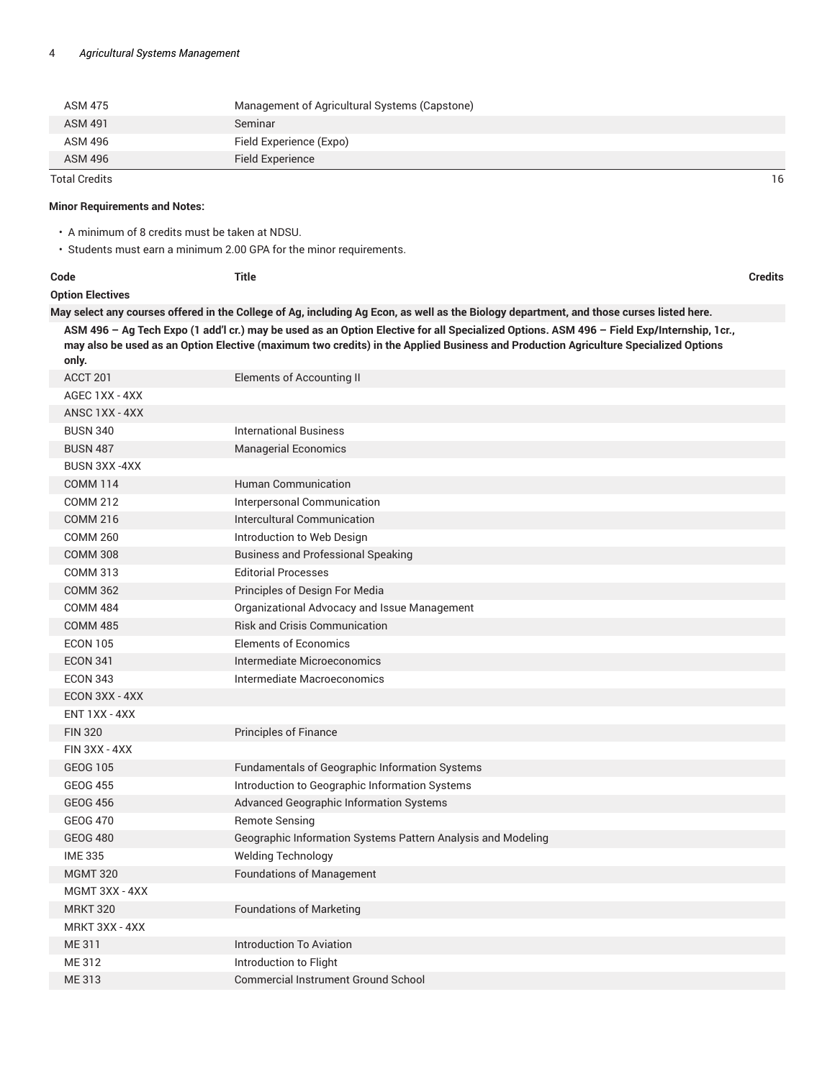| <b>ASM 475</b> | Management of Agricultural Systems (Capstone) |    |
|----------------|-----------------------------------------------|----|
| <b>ASM 491</b> | Seminar                                       |    |
| ASM 496        | Field Experience (Expo)                       |    |
| <b>ASM 496</b> | Field Experience                              |    |
| Total Credits  |                                               | 16 |

#### **Minor Requirements and Notes:**

• A minimum of 8 credits must be taken at NDSU.

• Students must earn a minimum 2.00 GPA for the minor requirements.

| ÷<br>. .<br>×<br>w<br>- - - - |  |
|-------------------------------|--|
|-------------------------------|--|

**Code Title Credits**

#### **Option Electives**

May select any courses offered in the College of Ag, including Ag Econ, as well as the Biology department, and those curses listed here. ASM 496 - Ag Tech Expo (1 add'l cr.) may be used as an Option Elective for all Specialized Options. ASM 496 - Field Exp/Internship, 1cr., may also be used as an Option Elective (maximum two credits) in the Applied Business and Production Agriculture Specialized Options **only.**

| ACCT 201             | <b>Elements of Accounting II</b>                             |
|----------------------|--------------------------------------------------------------|
| AGEC 1XX - 4XX       |                                                              |
| ANSC 1XX - 4XX       |                                                              |
| <b>BUSN 340</b>      | <b>International Business</b>                                |
| <b>BUSN 487</b>      | <b>Managerial Economics</b>                                  |
| <b>BUSN 3XX -4XX</b> |                                                              |
| <b>COMM 114</b>      | <b>Human Communication</b>                                   |
| <b>COMM 212</b>      | Interpersonal Communication                                  |
| <b>COMM 216</b>      | Intercultural Communication                                  |
| <b>COMM 260</b>      | Introduction to Web Design                                   |
| <b>COMM 308</b>      | <b>Business and Professional Speaking</b>                    |
| <b>COMM 313</b>      | <b>Editorial Processes</b>                                   |
| <b>COMM 362</b>      | Principles of Design For Media                               |
| <b>COMM 484</b>      | Organizational Advocacy and Issue Management                 |
| <b>COMM 485</b>      | <b>Risk and Crisis Communication</b>                         |
| <b>ECON 105</b>      | <b>Elements of Economics</b>                                 |
| <b>ECON 341</b>      | Intermediate Microeconomics                                  |
| <b>ECON 343</b>      | Intermediate Macroeconomics                                  |
| ECON 3XX - 4XX       |                                                              |
| ENT 1XX - 4XX        |                                                              |
| <b>FIN 320</b>       | Principles of Finance                                        |
| FIN 3XX - 4XX        |                                                              |
| <b>GEOG 105</b>      | Fundamentals of Geographic Information Systems               |
| <b>GEOG 455</b>      | Introduction to Geographic Information Systems               |
| <b>GEOG 456</b>      | Advanced Geographic Information Systems                      |
| <b>GEOG 470</b>      | <b>Remote Sensing</b>                                        |
| <b>GEOG 480</b>      | Geographic Information Systems Pattern Analysis and Modeling |
| <b>IME 335</b>       | <b>Welding Technology</b>                                    |
| <b>MGMT 320</b>      | <b>Foundations of Management</b>                             |
| MGMT 3XX - 4XX       |                                                              |
| <b>MRKT 320</b>      | <b>Foundations of Marketing</b>                              |
| MRKT 3XX - 4XX       |                                                              |
| ME 311               | <b>Introduction To Aviation</b>                              |
| ME 312               | Introduction to Flight                                       |
| <b>ME313</b>         | <b>Commercial Instrument Ground School</b>                   |
|                      |                                                              |